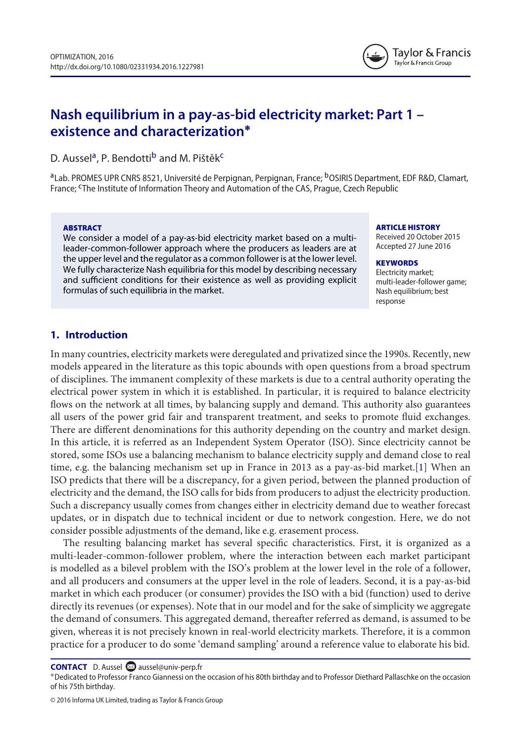

# **Nash equilibrium in a pay-as-bid electricity market: Part 1 – existence and characterization∗**

D. Aussel<sup>a</sup>, P. Bendotti<sup>b</sup> and M. Pištěk<sup>c</sup>

<sup>a</sup>Lab. PROMES UPR CNRS 8521, Université de Perpignan, Perpignan, France; <sup>b</sup>OSIRIS Department, EDF R&D, Clamart, France; <sup>c</sup>The Institute of Information Theory and Automation of the CAS, Prague, Czech Republic

#### **ABSTRACT**

We consider a model of a pay-as-bid electricity market based on a multileader-common-follower approach where the producers as leaders are at the upper level and the regulator as a common follower is at the lower level. We fully characterize Nash equilibria for this model by describing necessary and sufficient conditions for their existence as well as providing explicit formulas of such equilibria in the market.

**ARTICLE HISTORY**

Received 20 October 2015 Accepted 27 June 2016

#### **KEYWORDS**

Electricity market; multi-leader-follower game; Nash equilibrium; best response

# **1. Introduction**

In many countries, electricity markets were deregulated and privatized since the 1990s. Recently, new models appeared in the literature as this topic abounds with open questions from a broad spectrum of disciplines. The immanent complexity of these markets is due to a central authority operating the electrical power system in which it is established. In particular, it is required to balance electricity flows on the network at all times, by balancing supply and demand. This authority also guarantees all users of the power grid fair and transparent treatment, and seeks to promote fluid exchanges. There are different denominations for this authority depending on the country and market design. In this article, it is referred as an Independent System Operator (ISO). Since electricity cannot be stored, some ISOs use a balancing mechanism to balance electricity supply and demand close to real time, e.g. the balancing mechanism set up in France in 2013 as a pay-as-bid market.[1] When an ISO predicts that there will be a discrepancy, for a given period, between the planned production of electricity and the demand, the ISO calls for bids from producers to adjust the electricity production. Such a discrepancy usually comes from changes either in electricity demand due to weather forecast updates, or in dispatch due to technical incident or due to network congestion. Here, we do not consider possible adjustments of the demand, like e.g. erasement process.

The resulting balancing market has several specific characteristics. First, it is organized as a multi-leader-common-follower problem, where the interaction between each market participant is modelled as a bilevel problem with the ISO's problem at the lower level in the role of a follower, and all producers and consumers at the upper level in the role of leaders. Second, it is a pay-as-bid market in which each producer (or consumer) provides the ISO with a bid (function) used to derive directly its revenues (or expenses). Note that in our model and for the sake of simplicity we aggregate the demand of consumers. This aggregated demand, thereafter referred as demand, is assumed to be given, whereas it is not precisely known in real-world electricity markets. Therefore, it is a common practice for a producer to do some 'demand sampling' around a reference value to elaborate his bid.

**CONTACT** D. Aussel and aussel@univ-perp.fr<br>\*Dedicated to Professor Franco Giannessi on the occasion of his 80th birthday and to Professor Diethard Pallaschke on the occasion of his 75th birthday.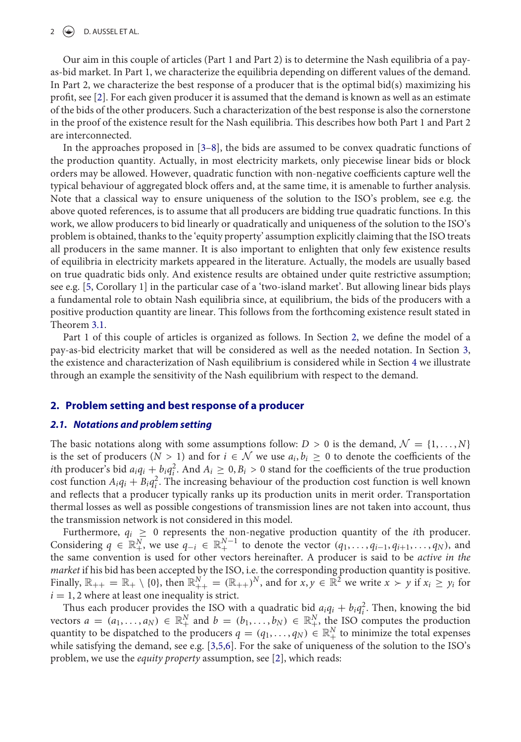#### $2 \quad \Leftrightarrow \quad$  D. AUSSEL ET AL.

Our aim in this couple of articles (Part 1 and Part 2) is to determine the Nash equilibria of a payas-bid market. In Part 1, we characterize the equilibria depending on different values of the demand. In Part 2, we characterize the best response of a producer that is the optimal bid(s) maximizing his profit, see [2]. For each given producer it is assumed that the demand is known as well as an estimate of the bids of the other producers. Such a characterization of the best response is also the cornerstone in the proof of the existence result for the Nash equilibria. This describes how both Part 1 and Part 2 are interconnected.

In the approaches proposed in [3–8], the bids are assumed to be convex quadratic functions of the production quantity. Actually, in most electricity markets, only piecewise linear bids or block orders may be allowed. However, quadratic function with non-negative coefficients capture well the typical behaviour of aggregated block offers and, at the same time, it is amenable to further analysis. Note that a classical way to ensure uniqueness of the solution to the ISO's problem, see e.g. the above quoted references, is to assume that all producers are bidding true quadratic functions. In this work, we allow producers to bid linearly or quadratically and uniqueness of the solution to the ISO's problem is obtained, thanks to the 'equity property' assumption explicitly claiming that the ISO treats all producers in the same manner. It is also important to enlighten that only few existence results of equilibria in electricity markets appeared in the literature. Actually, the models are usually based on true quadratic bids only. And existence results are obtained under quite restrictive assumption; see e.g. [5, Corollary 1] in the particular case of a 'two-island market'. But allowing linear bids plays a fundamental role to obtain Nash equilibria since, at equilibrium, the bids of the producers with a positive production quantity are linear. This follows from the forthcoming existence result stated in Theorem 3.1.

Part 1 of this couple of articles is organized as follows. In Section 2, we define the model of a pay-as-bid electricity market that will be considered as well as the needed notation. In Section 3, the existence and characterization of Nash equilibrium is considered while in Section 4 we illustrate through an example the sensitivity of the Nash equilibrium with respect to the demand.

#### **2. Problem setting and best response of a producer**

#### *2.1. Notations and problem setting*

The basic notations along with some assumptions follow:  $D > 0$  is the demand,  $\mathcal{N} = \{1, \ldots, N\}$ is the set of producers ( $N > 1$ ) and for  $i \in \mathcal{N}$  we use  $a_i, b_i \geq 0$  to denote the coefficients of the *i*th producer's bid  $a_iq_i + b_iq_i^2$ . And  $A_i \geq 0$ ,  $B_i > 0$  stand for the coefficients of the true production cost function  $A_i q_i + B_i q_i^2$ . The increasing behaviour of the production cost function is well known and reflects that a producer typically ranks up its production units in merit order. Transportation thermal losses as well as possible congestions of transmission lines are not taken into account, thus the transmission network is not considered in this model.

Furthermore,  $q_i \geq 0$  represents the non-negative production quantity of the *i*th producer. Considering  $q \in \mathbb{R}^N_+$ , we use  $q_{-i} \in \mathbb{R}^{N-1}_+$  to denote the vector  $(q_1, \ldots, q_{i-1}, q_{i+1}, \ldots, q_N)$ , and the same convention is used for other vectors hereinafter. A producer is said to be *active in the market* if his bid has been accepted by the ISO, i.e. the corresponding production quantity is positive. Finally,  $\mathbb{R}_{++} = \mathbb{R}_{+} \setminus \{0\}$ , then  $\mathbb{R}_{++}^{N} = (\mathbb{R}_{++})^{N}$ , and for  $x, y \in \mathbb{R}^{2}$  we write  $x > y$  if  $x_i \geq y_i$  for  $i = 1, 2$  where at least one inequality is strict.

Thus each producer provides the ISO with a quadratic bid  $a_iq_i + b_iq_i^2$ . Then, knowing the bid vectors  $a = (a_1, \ldots, a_N) \in \mathbb{R}^N_+$  and  $b = (b_1, \ldots, b_N) \in \mathbb{R}^N_+$ , the ISO computes the production quantity to be dispatched to the producers  $q = (q_1, \ldots, q_N) \in \mathbb{R}_+^N$  to minimize the total expenses while satisfying the demand, see e.g. [3,5,6]. For the sake of uniqueness of the solution to the ISO's problem, we use the *equity property* assumption, see [2], which reads: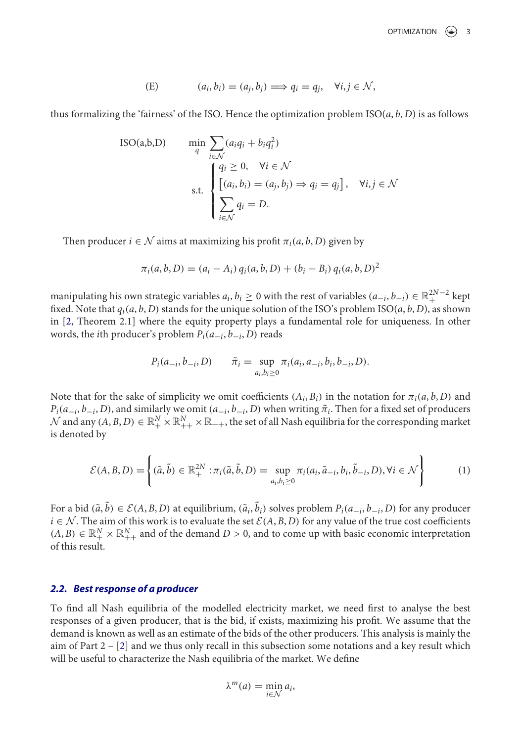(E) 
$$
(a_i, b_i) = (a_j, b_j) \Longrightarrow q_i = q_j, \quad \forall i, j \in \mathcal{N},
$$

thus formalizing the 'fairness' of the ISO. Hence the optimization problem ISO(*a*, *b*, *D*) is as follows

ISO(a,b,D) 
$$
\min_{q} \sum_{i \in \mathcal{N}} (a_i q_i + b_i q_i^2)
$$

$$
s.t. \begin{cases} q_i \ge 0, & \forall i \in \mathcal{N} \\ [(a_i, b_i) = (a_j, b_j) \Rightarrow q_i = q_j], & \forall i, j \in \mathcal{N} \\ \sum_{i \in \mathcal{N}} q_i = D. \end{cases}
$$

Then producer  $i \in \mathcal{N}$  aims at maximizing his profit  $\pi_i(a, b, D)$  given by

$$
\pi_i(a, b, D) = (a_i - A_i) q_i(a, b, D) + (b_i - B_i) q_i(a, b, D)^2
$$

manipulating his own strategic variables  $a_i, b_i \geq 0$  with the rest of variables  $(a_{-i}, b_{-i}) \in \mathbb{R}^{2N-2}_+$  kept fixed. Note that  $q_i(a, b, D)$  stands for the unique solution of the ISO's problem ISO( $a, b, D$ ), as shown in [2, Theorem 2.1] where the equity property plays a fundamental role for uniqueness. In other words, the *i*th producer's problem  $P_i(a_{-i}, b_{-i}, D)$  reads

$$
P_i(a_{-i}, b_{-i}, D) \qquad \tilde{\pi}_i = \sup_{a_i, b_i \ge 0} \pi_i(a_i, a_{-i}, b_i, b_{-i}, D).
$$

Note that for the sake of simplicity we omit coefficients  $(A_i, B_i)$  in the notation for  $\pi_i(a, b, D)$  and  $P_i(a_{-i}, b_{-i}, D)$ , and similarly we omit  $(a_{-i}, b_{-i}, D)$  when writing  $\tilde{\pi}_i$ . Then for a fixed set of producers  $\mathcal N$  and any  $(A,B,D)\in\mathbb R_+^N\times\mathbb R_{++}^N\times\mathbb R_{++}$ , the set of all Nash equilibria for the corresponding market is denoted by

$$
\mathcal{E}(A,B,D) = \left\{ (\tilde{a},\tilde{b}) \in \mathbb{R}_+^{2N} : \pi_i(\tilde{a},\tilde{b},D) = \sup_{a_i,b_i \ge 0} \pi_i(a_i,\tilde{a}_{-i},b_i,\tilde{b}_{-i},D), \forall i \in \mathcal{N} \right\}
$$
(1)

For a bid  $(\tilde{a}, \tilde{b}) \in \mathcal{E}(A, B, D)$  at equilibrium,  $(\tilde{a}_i, \tilde{b}_i)$  solves problem  $P_i(a_{-i}, b_{-i}, D)$  for any producer *i* ∈  $N$ . The aim of this work is to evaluate the set  $E(A, B, D)$  for any value of the true cost coefficients  $(A, B) \in \mathbb{R}_+^N \times \mathbb{R}_{++}^N$  and of the demand  $D > 0$ , and to come up with basic economic interpretation of this result.

# *2.2. Best response of a producer*

To find all Nash equilibria of the modelled electricity market, we need first to analyse the best responses of a given producer, that is the bid, if exists, maximizing his profit. We assume that the demand is known as well as an estimate of the bids of the other producers. This analysis is mainly the aim of Part 2 – [2] and we thus only recall in this subsection some notations and a key result which will be useful to characterize the Nash equilibria of the market. We define

$$
\lambda^m(a)=\min_{i\in\mathcal{N}}a_i,
$$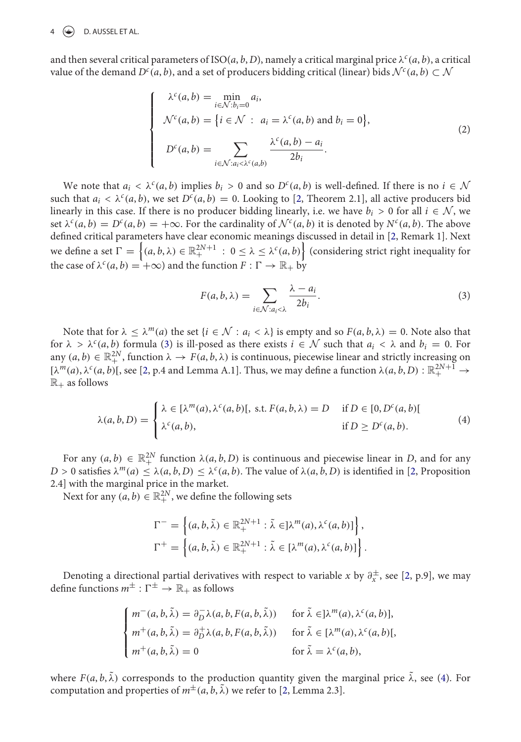#### $\circledast$  D. AUSSEL ET AL.

and then several critical parameters of ISO(*a*, *b*, *D*), namely a critical marginal price  $\lambda^c(a, b)$ , a critical value of the demand  $D^c(a, b)$ , and a set of producers bidding critical (linear) bids  $\mathcal{N}^c(a, b) \subset \mathcal{N}$ 

$$
\begin{cases}\n\lambda^{c}(a,b) = \min_{i \in \mathcal{N}: b_{i}=0} a_{i}, \\
\mathcal{N}^{c}(a,b) = \{i \in \mathcal{N} : a_{i} = \lambda^{c}(a,b) \text{ and } b_{i} = 0\}, \\
D^{c}(a,b) = \sum_{i \in \mathcal{N}: a_{i} < \lambda^{c}(a,b)} \frac{\lambda^{c}(a,b) - a_{i}}{2b_{i}}.\n\end{cases}
$$
\n(2)

We note that  $a_i < \lambda^c(a, b)$  implies  $b_i > 0$  and so  $D^c(a, b)$  is well-defined. If there is no  $i \in \mathcal{N}$ such that  $a_i < \lambda^c(a, b)$ , we set  $D^c(a, b) = 0$ . Looking to [2, Theorem 2.1], all active producers bid linearly in this case. If there is no producer bidding linearly, i.e. we have  $b_i > 0$  for all  $i \in \mathcal{N}$ , we set  $\lambda^{c}(a, b) = D^{c}(a, b) = +\infty$ . For the cardinality of  $\mathcal{N}^{c}(a, b)$  it is denoted by  $N^{c}(a, b)$ . The above defined critical parameters have clear economic meanings discussed in detail in [2, Remark 1]. Next we define a set  $\Gamma = \left\{(a,b,\lambda) \in \mathbb{R}^{2N+1}_+ \, : \, 0 \leq \lambda \leq \lambda^c(a,b) \right\}$  (considering strict right inequality for the case of  $\lambda^c(a, b) = +\infty$ ) and the function  $F : \Gamma \to \mathbb{R}_+$  by

$$
F(a, b, \lambda) = \sum_{i \in \mathcal{N}: a_i < \lambda} \frac{\lambda - a_i}{2b_i}.\tag{3}
$$

Note that for  $\lambda \leq \lambda^m(a)$  the set  $\{i \in \mathcal{N} : a_i < \lambda\}$  is empty and so  $F(a, b, \lambda) = 0$ . Note also that for  $\lambda > \lambda^c(a, b)$  formula (3) is ill-posed as there exists  $i \in \mathcal{N}$  such that  $a_i < \lambda$  and  $b_i = 0$ . For any  $(a, b) \in \mathbb{R}^{2N}_+$ , function  $\lambda \to F(a, b, \lambda)$  is continuous, piecewise linear and strictly increasing on  $[\lambda^m(a), \lambda^c(a, b)]$ , see [2, p.4 and Lemma A.1]. Thus, we may define a function  $\lambda(a, b, D) : \mathbb{R}_+^{2N+1} \to$  $\mathbb{R}_+$  as follows

$$
\lambda(a, b, D) = \begin{cases} \lambda \in [\lambda^m(a), \lambda^c(a, b)], \text{ s.t. } F(a, b, \lambda) = D & \text{if } D \in [0, D^c(a, b)] \\ \lambda^c(a, b), & \text{if } D \ge D^c(a, b). \end{cases}
$$
(4)

For any  $(a, b) \in \mathbb{R}_+^{2N}$  function  $\lambda(a, b, D)$  is continuous and piecewise linear in *D*, and for any  $D > 0$  satisfies  $\lambda^m(a) < \lambda(a, b, D) < \lambda^c(a, b)$ . The value of  $\lambda(a, b, D)$  is identified in [2, Proposition 2.4] with the marginal price in the market.

Next for any  $(a, b) \in \mathbb{R}^{2N}_+$ , we define the following sets

$$
\Gamma^{-} = \left\{ (a, b, \tilde{\lambda}) \in \mathbb{R}_{+}^{2N+1} : \tilde{\lambda} \in ]\lambda^{m}(a), \lambda^{c}(a, b)] \right\},\
$$
  

$$
\Gamma^{+} = \left\{ (a, b, \tilde{\lambda}) \in \mathbb{R}_{+}^{2N+1} : \tilde{\lambda} \in [\lambda^{m}(a), \lambda^{c}(a, b)] \right\}.
$$

Denoting a directional partial derivatives with respect to variable *x* by  $\partial_x^{\pm}$ , see [2, p.9], we may define functions  $m^{\pm}$ :  $\Gamma^{\pm} \rightarrow \mathbb{R}_+$  as follows

$$
\begin{cases}\nm^-(a, b, \tilde{\lambda}) = \partial_D^- \lambda(a, b, F(a, b, \tilde{\lambda})) & \text{for } \tilde{\lambda} \in ]\lambda^m(a), \lambda^c(a, b)], \\
m^+(a, b, \tilde{\lambda}) = \partial_D^+ \lambda(a, b, F(a, b, \tilde{\lambda})) & \text{for } \tilde{\lambda} \in [\lambda^m(a), \lambda^c(a, b)], \\
m^+(a, b, \tilde{\lambda}) = 0 & \text{for } \tilde{\lambda} = \lambda^c(a, b),\n\end{cases}
$$

where  $F(a, b, \lambda)$  corresponds to the production quantity given the marginal price  $\lambda$ , see (4). For computation and properties of  $m^{\pm}(a, b, \tilde{\lambda})$  we refer to [2, Lemma 2.3].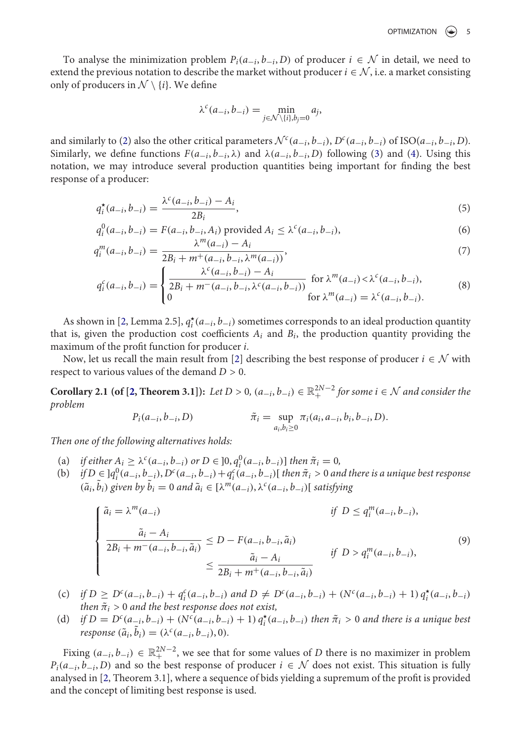To analyse the minimization problem  $P_i(a_{-i}, b_{-i}, D)$  of producer  $i \in \mathcal{N}$  in detail, we need to extend the previous notation to describe the market without producer  $i \in \mathcal{N}$ , i.e. a market consisting only of producers in  $\mathcal{N} \setminus \{i\}$ . We define

$$
\lambda^{c}(a_{-i}, b_{-i}) = \min_{j \in \mathcal{N} \setminus \{i\}, b_{j} = 0} a_{j},
$$

and similarly to (2) also the other critical parameters  $\mathcal{N}^c(a_{-i}, b_{-i}), D^c(a_{-i}, b_{-i})$  of ISO( $a_{-i}, b_{-i}, D$ ). Similarly, we define functions  $F(a_{-i}, b_{-i}, \lambda)$  and  $\lambda(a_{-i}, b_{-i}, D)$  following (3) and (4). Using this notation, we may introduce several production quantities being important for finding the best response of a producer:

$$
q_i^{\star}(a_{-i}, b_{-i}) = \frac{\lambda^c(a_{-i}, b_{-i}) - A_i}{2B_i},
$$
\n(5)

$$
q_i^0(a_{-i}, b_{-i}) = F(a_{-i}, b_{-i}, A_i) \text{ provided } A_i \leq \lambda^c(a_{-i}, b_{-i}),
$$
  
\n
$$
\lambda^m(a_{-i}) - A_i
$$
 (6)

$$
q_i^m(a_{-i}, b_{-i}) = \frac{\lambda^m(a_{-i}) - A_i}{2B_i + m^+(a_{-i}, b_{-i}, \lambda^m(a_{-i}))},
$$
\n
$$
\begin{cases}\n\lambda^c(a_{-i}, b_{-i}) - A_i & \text{for } \lambda^c(a_{-i}, b_{-i})\n\end{cases}
$$
\n(7)

$$
q_i^c(a_{-i}, b_{-i}) = \begin{cases} \frac{\lambda^c(a_{-i}, b_{-i}) - A_i}{2B_i + m^-(a_{-i}, b_{-i}, \lambda^c(a_{-i}, b_{-i}))} & \text{for } \lambda^m(a_{-i}) < \lambda^c(a_{-i}, b_{-i}),\\ 0 & \text{for } \lambda^m(a_{-i}) = \lambda^c(a_{-i}, b_{-i}). \end{cases}
$$
(8)

As shown in [2, Lemma 2.5],  $q_i^*(a_{-i}, b_{-i})$  sometimes corresponds to an ideal production quantity that is, given the production cost coefficients  $A_i$  and  $B_i$ , the production quantity providing the maximum of the profit function for producer *i*.

Now, let us recall the main result from [2] describing the best response of producer  $i \in \mathcal{N}$  with respect to various values of the demand *D >* 0.

**Corollary 2.1 (of [2, Theorem 3.1]):** Let  $D > 0$ ,  $(a_{-i}, b_{-i}) \in \mathbb{R}^{2N-2}_+$  for some  $i \in \mathcal{N}$  and consider the *problem*

$$
P_i(a_{-i}, b_{-i}, D) \qquad \qquad \tilde{\pi}_i = \sup_{a_i, b_i \ge 0} \pi_i(a_i, a_{-i}, b_i, b_{-i}, D).
$$

*Then one of the following alternatives holds:*

- (a) *if either*  $A_i \geq \lambda^c (a_{-i}, b_{-i})$  *or*  $D \in ]0, q_i^0 (a_{-i}, b_{-i})]$  *then*  $\tilde{\pi}_i = 0$ *,*
- (b) if  $D \in ]q_i^0(a_{-i},b_{-i}), D^c(a_{-i},b_{-i})+q_i^c(a_{-i},b_{-i})[$  then  $\tilde{\pi}_i > 0$  and there is a unique best response  $(\tilde{a}_i, \tilde{b}_i)$  given by  $\tilde{b}_i = 0$  and  $\tilde{a}_i \in [\lambda^m(a_{-i}), \lambda^c(a_{-i}, b_{-i})]$  satisfying

$$
\begin{cases}\n\tilde{a}_{i} = \lambda^{m}(a_{-i}) & \text{if } D \leq q_{i}^{m}(a_{-i}, b_{-i}), \\
\frac{\tilde{a}_{i} - A_{i}}{2B_{i} + m^{-}(a_{-i}, b_{-i}, \tilde{a}_{i})} \leq D - F(a_{-i}, b_{-i}, \tilde{a}_{i}) & \text{if } D > q_{i}^{m}(a_{-i}, b_{-i}), \\
\leq \frac{\tilde{a}_{i} - A_{i}}{2B_{i} + m^{+}(a_{-i}, b_{-i}, \tilde{a}_{i})}\n\end{cases}
$$
\n(9)

- (c) if  $D \ge D^{c}(a_{-i}, b_{-i}) + q_{i}^{c}(a_{-i}, b_{-i})$  and  $D \ne D^{c}(a_{-i}, b_{-i}) + (N^{c}(a_{-i}, b_{-i}) + 1) q_{i}^{*}(a_{-i}, b_{-i})$ *then*  $\tilde{\pi}_i > 0$  *and the best response does not exist,*
- (d) if  $D = D^{c}(a_{-i}, b_{-i}) + (N^{c}(a_{-i}, b_{-i}) + 1) q_{i}^{*}(a_{-i}, b_{-i})$  then  $\tilde{\pi}_{i} > 0$  and there is a unique best  $r$ *esponse* ( $\tilde{a}_i$ ,  $\tilde{b}_i$ ) = ( $\lambda^c(a_{-i}, b_{-i}), 0$ ).

Fixing  $(a_{-i}, b_{-i})$  ∈  $\mathbb{R}^{2N-2}_+$ , we see that for some values of *D* there is no maximizer in problem  $P_i(a_{-i}, b_{-i}, D)$  and so the best response of producer  $i \in \mathcal{N}$  does not exist. This situation is fully analysed in [2, Theorem 3.1], where a sequence of bids yielding a supremum of the profit is provided and the concept of limiting best response is used.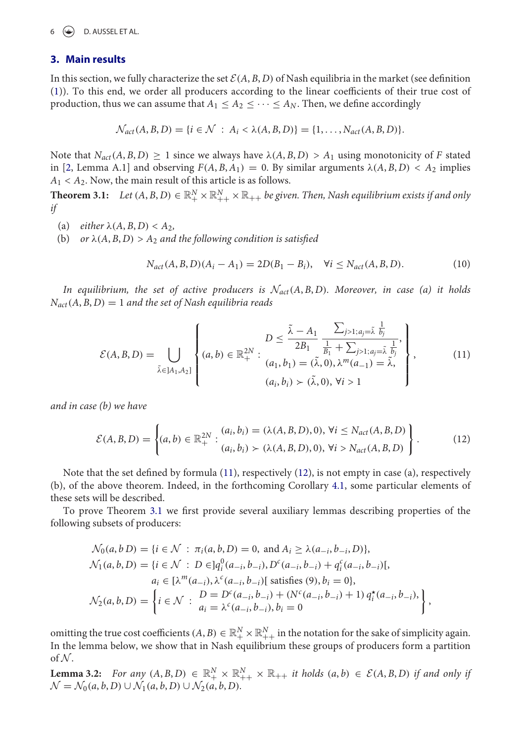$6 \quad \Leftrightarrow \quad$  D. AUSSEL ET AL.

#### **3. Main results**

In this section, we fully characterize the set  $\mathcal{E}(A, B, D)$  of Nash equilibria in the market (see definition (1)). To this end, we order all producers according to the linear coefficients of their true cost of production, thus we can assume that  $A_1 \leq A_2 \leq \cdots \leq A_N$ . Then, we define accordingly

$$
\mathcal{N}_{act}(A, B, D) = \{i \in \mathcal{N} : A_i < \lambda(A, B, D)\} = \{1, \ldots, N_{act}(A, B, D)\}.
$$

Note that  $N_{act}(A, B, D) \geq 1$  since we always have  $\lambda(A, B, D) > A_1$  using monotonicity of *F* stated in [2, Lemma A.1] and observing  $F(A, B, A_1) = 0$ . By similar arguments  $\lambda(A, B, D) < A_2$  implies  $A_1 < A_2$ . Now, the main result of this article is as follows.

 $\bf{Theorem 3.1:} \quad Let \,(A,B,D) \in \mathbb{R}^N_+ \times \mathbb{R}^N_{++} \times \mathbb{R}_{++} \, be \, given. \ Then, Nash\, equilibrium\, exists \, if\,and\,only$ *if*

- (a) *either*  $\lambda(A, B, D) < A_2$ ,
- (b) *or*  $\lambda(A, B, D) > A_2$  *and the following condition is satisfied*

$$
N_{act}(A, B, D)(A_i - A_1) = 2D(B_1 - B_i), \quad \forall i \le N_{act}(A, B, D). \tag{10}
$$

*In equilibrium, the set of active producers is*  $\mathcal{N}_{act}(A, B, D)$ *. Moreover, in case (a) it holds*  $N_{act}(A, B, D) = 1$  *and the set of Nash equilibria reads* 

$$
\mathcal{E}(A, B, D) = \bigcup_{\tilde{\lambda} \in ]A_1, A_2]} \left\{ (a, b) \in \mathbb{R}_+^{2N} : \begin{matrix} D \leq \frac{\tilde{\lambda} - A_1}{2B_1} \frac{\sum_{j>1; a_j = \tilde{\lambda}} \frac{1}{b_j}}{\frac{1}{B_1} + \sum_{j>1; a_j = \tilde{\lambda}} \frac{1}{b_j}}, \\ (a_1, b_1) = (\tilde{\lambda}, 0), \lambda^m(a_{-1}) = \tilde{\lambda}, \\ (a_i, b_i) \succ (\tilde{\lambda}, 0), \forall i > 1 \end{matrix} \right\},
$$
(11)

*and in case (b) we have*

$$
\mathcal{E}(A, B, D) = \left\{ (a, b) \in \mathbb{R}^{2N}_+ : \begin{aligned} (a_i, b_i) &= (\lambda(A, B, D), 0), \,\forall i \le N_{act}(A, B, D) \\ (a_i, b_i) &> (\lambda(A, B, D), 0), \,\forall i > N_{act}(A, B, D) \end{aligned} \right\}.
$$
\n<sup>(12)</sup>

Note that the set defined by formula (11), respectively (12), is not empty in case (a), respectively (b), of the above theorem. Indeed, in the forthcoming Corollary 4.1, some particular elements of these sets will be described.

To prove Theorem 3.1 we first provide several auxiliary lemmas describing properties of the following subsets of producers:

$$
\mathcal{N}_0(a, b \, D) = \{i \in \mathcal{N} : \pi_i(a, b, D) = 0, \text{ and } A_i \ge \lambda(a_{-i}, b_{-i}, D)\},
$$
\n
$$
\mathcal{N}_1(a, b, D) = \{i \in \mathcal{N} : D \in ]q_i^0(a_{-i}, b_{-i}), D^c(a_{-i}, b_{-i}) + q_i^c(a_{-i}, b_{-i})[,
$$
\n
$$
a_i \in [\lambda^m(a_{-i}), \lambda^c(a_{-i}, b_{-i})] \text{ satisfies (9), } b_i = 0\},
$$
\n
$$
\mathcal{N}_2(a, b, D) = \left\{i \in \mathcal{N} : \begin{array}{l} D = D^c(a_{-i}, b_{-i}) + (N^c(a_{-i}, b_{-i}) + 1) q_i^*(a_{-i}, b_{-i}), \\ a_i = \lambda^c(a_{-i}, b_{-i}), b_i = 0 \end{array}\right\},
$$

omitting the true cost coefficients  $(A, B) \in \mathbb{R}_+^N \times \mathbb{R}_{++}^N$  in the notation for the sake of simplicity again. In the lemma below, we show that in Nash equilibrium these groups of producers form a partition of  $N$ .

**Lemma 3.2:** For any  $(A, B, D) \in \mathbb{R}_+^N \times \mathbb{R}_{++}^N \times \mathbb{R}_{++}$  *it holds*  $(a, b) \in \mathcal{E}(A, B, D)$  *if and only if*  $\mathcal{N} = \mathcal{N}_0(a, b, D) \cup \mathcal{N}_1(a, b, D) \cup \mathcal{N}_2(a, b, D).$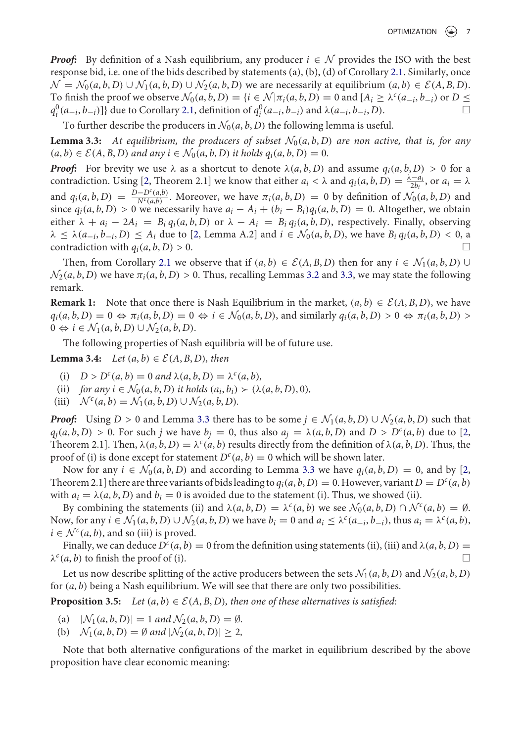*Proof:* By definition of a Nash equilibrium, any producer  $i \in \mathcal{N}$  provides the ISO with the best response bid, i.e. one of the bids described by statements (a), (b), (d) of Corollary 2.1. Similarly, once  $\mathcal{N} = \mathcal{N}_0(a, b, D) \cup \mathcal{N}_1(a, b, D) \cup \mathcal{N}_2(a, b, D)$  we are necessarily at equilibrium  $(a, b) \in \mathcal{E}(A, B, D)$ . To finish the proof we observe  $\mathcal{N}_0(a, b, D) = \{i \in \mathcal{N} | \pi_i(a, b, D) = 0 \text{ and } [A_i \geq \lambda^c(a_{-i}, b_{-i}) \text{ or } D \leq$ *q*<sup>0</sup>( $a_{-i}, b_{-i}$ )]} due to Corollary 2.1, definition of  $q_i^0$ ( $a_{-i}, b_{-i}$ ) and  $\lambda$ ( $a_{-i}, b_{-i}, D$ ).  $\Box$ 

To further describe the producers in  $\mathcal{N}_0(a, b, D)$  the following lemma is useful.

**Lemma 3.3:** At equilibrium, the producers of subset  $\mathcal{N}_0(a, b, D)$  are non active, that is, for any  $(a, b) \in \mathcal{E}(A, B, D)$  and any  $i \in \mathcal{N}_0(a, b, D)$  it holds  $q_i(a, b, D) = 0$ .

*Proof:* For brevity we use  $\lambda$  as a shortcut to denote  $\lambda(a, b, D)$  and assume  $q_i(a, b, D) > 0$  for a contradiction. Using [2, Theorem 2.1] we know that either  $a_i < \lambda$  and  $q_i(a, b, D) = \frac{\lambda - a_i}{2b_i}$ , or  $a_i = \lambda$ and  $q_i(a, b, D) = \frac{D - D^c(a, b)}{N^c(a, b)}$ . Moreover, we have  $\pi_i(a, b, D) = 0$  by definition of  $\mathcal{N}_0(a, b, D)$  and since  $q_i(a, b, D) > 0$  we necessarily have  $a_i - A_i + (b_i - B_i)q_i(a, b, D) = 0$ . Altogether, we obtain either  $\lambda + a_i - 2A_i = B_i q_i(a, b, D)$  or  $\lambda - A_i = B_i q_i(a, b, D)$ , respectively. Finally, observing  $\lambda \leq \lambda(a_{-i}, b_{-i}, D) \leq A_i$  due to [2, Lemma A.2] and  $i \in \mathcal{N}_0(a, b, D)$ , we have  $B_i q_i(a, b, D) < 0$ , a contradiction with  $q_i(a, b, D) > 0$ .

Then, from Corollary 2.1 we observe that if  $(a, b) \in \mathcal{E}(A, B, D)$  then for any  $i \in \mathcal{N}_1(a, b, D) \cup$  $\mathcal{N}_2(a, b, D)$  we have  $\pi_i(a, b, D) > 0$ . Thus, recalling Lemmas 3.2 and 3.3, we may state the following remark.

**Remark 1:** Note that once there is Nash Equilibrium in the market,  $(a, b) \in \mathcal{E}(A, B, D)$ , we have  $q_i(a, b, D) = 0 \Leftrightarrow \pi_i(a, b, D) = 0 \Leftrightarrow i \in \mathcal{N}_0(a, b, D)$ , and similarly  $q_i(a, b, D) > 0 \Leftrightarrow \pi_i(a, b, D) > 0$ 0  $\Leftrightarrow$  *i* ∈  $\mathcal{N}_1(a, b, D) \cup \mathcal{N}_2(a, b, D)$ .

The following properties of Nash equilibria will be of future use.

**Lemma 3.4:** *Let*  $(a, b) \in \mathcal{E}(A, B, D)$ *, then* 

- (i)  $D > D^c(a, b) = 0$  and  $\lambda(a, b, D) = \lambda^c(a, b)$ ,
- (ii) *for any i*  $\in$   $\mathcal{N}_0(a, b, D)$  *it holds*  $(a_i, b_i) \succ (\lambda(a, b, D), 0)$ ,<br>(iii)  $\mathcal{N}^c(a, b) = \mathcal{N}_1(a, b, D) \cup \mathcal{N}_2(a, b, D)$ .
- $\mathcal{N}^c(a, b) = \mathcal{N}_1(a, b, D) \cup \mathcal{N}_2(a, b, D).$

*Proof:* Using  $D > 0$  and Lemma 3.3 there has to be some  $j \in \mathcal{N}_1(a, b, D) \cup \mathcal{N}_2(a, b, D)$  such that  $q_j(a, b, D) > 0$ . For such *j* we have  $b_j = 0$ , thus also  $a_j = \lambda(a, b, D)$  and  $D > D^c(a, b)$  due to [2, Theorem 2.1]. Then,  $\lambda(a, b, D) = \lambda^c(a, b)$  results directly from the definition of  $\lambda(a, b, D)$ . Thus, the proof of (i) is done except for statement  $D^{c}(a, b) = 0$  which will be shown later.

Now for any  $i \in \mathcal{N}_0(a, b, D)$  and according to Lemma 3.3 we have  $q_i(a, b, D) = 0$ , and by [2, Theorem 2.1] there are three variants of bids leading to  $q_i(a, b, D) = 0$ . However, variant  $D = D^c(a, b)$ with  $a_i = \lambda(a, b, D)$  and  $b_i = 0$  is avoided due to the statement (i). Thus, we showed (ii).

By combining the statements (ii) and  $\lambda(a, b, D) = \lambda^c(a, b)$  we see  $\mathcal{N}_0(a, b, D) \cap \mathcal{N}^c(a, b) = \emptyset$ . Now, for any  $i \in \mathcal{N}_1(a, b, D) \cup \mathcal{N}_2(a, b, D)$  we have  $b_i = 0$  and  $a_i \leq \lambda^c(a_{-i}, b_{-i})$ , thus  $a_i = \lambda^c(a, b)$ ,  $i \in \mathcal{N}^c(a, b)$ , and so (iii) is proved.

Finally, we can deduce  $D<sup>c</sup>(a, b) = 0$  from the definition using statements (ii), (iii) and  $\lambda(a, b, D) =$  $\lambda^c(a, b)$  to finish the proof of (i).

Let us now describe splitting of the active producers between the sets  $\mathcal{N}_1(a, b, D)$  and  $\mathcal{N}_2(a, b, D)$ for (*a*, *b*) being a Nash equilibrium. We will see that there are only two possibilities.

**Proposition 3.5:** Let  $(a, b) \in \mathcal{E}(A, B, D)$ , then one of these alternatives is satisfied:

- (a)  $|\mathcal{N}_1(a, b, D)| = 1$  *and*  $\mathcal{N}_2(a, b, D) = \emptyset$ *.*
- (b)  $\mathcal{N}_1(a, b, D) = \emptyset$  and  $|\mathcal{N}_2(a, b, D)| \geq 2$ ,

Note that both alternative configurations of the market in equilibrium described by the above proposition have clear economic meaning: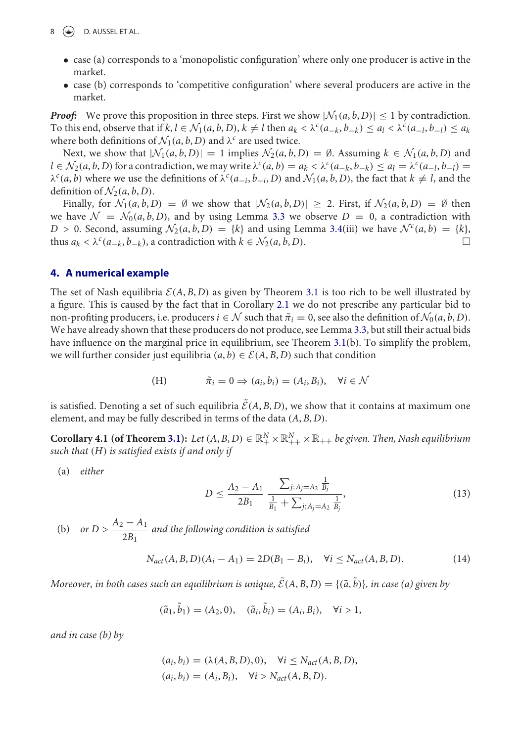- case (a) corresponds to a 'monopolistic configuration' where only one producer is active in the market.
- case (b) corresponds to 'competitive configuration' where several producers are active in the market.

*Proof:* We prove this proposition in three steps. First we show  $|\mathcal{N}_1(a, b, D)| \leq 1$  by contradiction. To this end, observe that if  $k, l \in \mathcal{N}_1(a, b, D), k \neq l$  then  $a_k < \lambda^c (a_{-k}, b_{-k}) \leq a_l < \lambda^c (a_{-l}, b_{-l}) \leq a_k$ where both definitions of  $\mathcal{N}_1(a, b, D)$  and  $\lambda^c$  are used twice.

Next, we show that  $|N_1(a, b, D)| = 1$  implies  $N_2(a, b, D) = \emptyset$ . Assuming  $k \in N_1(a, b, D)$  and  $l \in \mathcal{N}_2(a, b, D)$  for a contradiction, we may write  $\lambda^c(a, b) = a_k < \lambda^c(a_{-k}, b_{-k}) \le a_l = \lambda^c(a_{-l}, b_{-l})$  $\lambda^c(a, b)$  where we use the definitions of  $\lambda^c(a_{-i}, b_{-i}, D)$  and  $\mathcal{N}_1(a, b, D)$ , the fact that  $k \neq l$ , and the definition of  $\mathcal{N}_2(a, b, D)$ .

Finally, for  $\mathcal{N}_1(a, b, D) = \emptyset$  we show that  $|\mathcal{N}_2(a, b, D)| \geq 2$ . First, if  $\mathcal{N}_2(a, b, D) = \emptyset$  then we have  $\mathcal{N} = \mathcal{N}_0(a, b, D)$ , and by using Lemma 3.3 we observe  $D = 0$ , a contradiction with  $D > 0$ . Second, assuming  $\mathcal{N}_2(a, b, D) = \{k\}$  and using Lemma 3.4(iii) we have  $\mathcal{N}^c(a, b) = \{k\}$ , thus  $a_k < \lambda^c(a_{k,k}, b_{k,k})$ , a contradiction with  $k \in \mathcal{N}_2(a, b, D)$ . thus  $a_k < \lambda^c (a_{-k}, b_{-k})$ , a contradiction with  $k \in \mathcal{N}_2(a, b, D)$ .

#### **4. A numerical example**

The set of Nash equilibria  $E(A, B, D)$  as given by Theorem 3.1 is too rich to be well illustrated by a figure. This is caused by the fact that in Corollary 2.1 we do not prescribe any particular bid to non-profiting producers, i.e. producers  $i \in \mathcal{N}$  such that  $\tilde{\pi}_i = 0$ , see also the definition of  $\mathcal{N}_0(a, b, D)$ . We have already shown that these producers do not produce, see Lemma 3.3, but still their actual bids have influence on the marginal price in equilibrium, see Theorem 3.1(b). To simplify the problem, we will further consider just equilibria  $(a, b) \in \mathcal{E}(A, B, D)$  such that condition

(H) 
$$
\tilde{\pi}_i = 0 \Rightarrow (a_i, b_i) = (A_i, B_i), \quad \forall i \in \mathcal{N}
$$

is satisfied. Denoting a set of such equilibria  $\tilde{\mathcal{E}}(A, B, D)$ , we show that it contains at maximum one element, and may be fully described in terms of the data (*A*, *B*, *D*).

 $\textbf{Corollary 4.1 (of Theorem 3.1):}$  *Let*  $(A, B, D) \in \mathbb{R}_+^N \times \mathbb{R}_{++}^N \times \mathbb{R}_{++}$  *be given. Then, Nash equilibrium such that* (*H*) *is satisfied exists if and only if*

(a) *either*

$$
D \le \frac{A_2 - A_1}{2B_1} \frac{\sum_{j:A_j = A_2} \frac{1}{B_j}}{\frac{1}{B_1} + \sum_{j:A_j = A_2} \frac{1}{B_j}},
$$
\n(13)

(b) *or D* >  $\frac{A_2 - A_1}{2R}$  $\frac{2B_1}{2B_1}$  and the following condition is satisfied

$$
N_{act}(A, B, D)(A_i - A_1) = 2D(B_1 - B_i), \quad \forall i \le N_{act}(A, B, D).
$$
 (14)

 $M$ oreover, in both cases such an equilibrium is unique,  $\tilde{\mathcal{E}}(A,B,D)=\{(\tilde{a},\tilde{b})\}$ , in case (a) given by

$$
(\tilde{a}_1, \tilde{b}_1) = (A_2, 0), \quad (\tilde{a}_i, \tilde{b}_i) = (A_i, B_i), \quad \forall i > 1,
$$

*and in case (b) by*

$$
(a_i, b_i) = (\lambda(A, B, D), 0), \quad \forall i \le N_{act}(A, B, D),
$$
  

$$
(a_i, b_i) = (A_i, B_i), \quad \forall i > N_{act}(A, B, D).
$$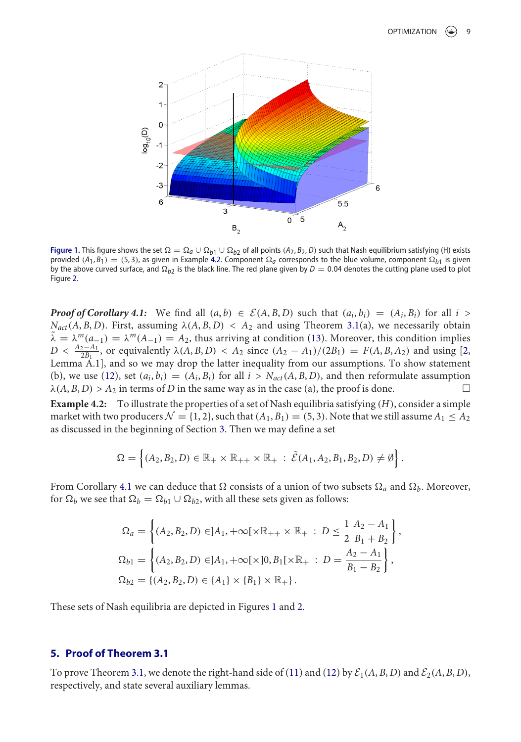

**Figure 1.** This figure shows the set  $\Omega = \Omega_q \cup \Omega_{b1} \cup \Omega_{b2}$  of all points  $(A_2, B_2, D)$  such that Nash equilibrium satisfying (H) exists provided  $(A_1, B_1) = (5, 3)$ , as given in Example 4.2. Component  $\Omega_a$  corresponds to the blue volume, component  $\Omega_{b1}$  is given by the above curved surface, and  $\Omega_{b2}$  is the black line. The red plane given by  $D = 0.04$  denotes the cutting plane used to plot Figure 2.

*Proof of Corollary 4.1:* We find all  $(a, b) \in \mathcal{E}(A, B, D)$  such that  $(a_i, b_i) = (A_i, B_i)$  for all  $i >$  $N_{act}(A, B, D)$ . First, assuming  $\lambda(A, B, D) < A_2$  and using Theorem 3.1(a), we necessarily obtain  $\tilde{\lambda} = \lambda^m(a_{-1}) = \lambda^m(A_{-1}) = A_2$ , thus arriving at condition (13). Moreover, this condition implies  $D < \frac{A_2 - A_1}{2B_1}$ , or equivalently  $\lambda(A, B, D) < A_2$  since  $(A_2 - A_1)/(2B_1) = F(A, B, A_2)$  and using [2, Lemma A.1], and so we may drop the latter inequality from our assumptions. To show statement (b), we use (12), set  $(a_i, b_i) = (A_i, B_i)$  for all  $i > N_{act}(A, B, D)$ , and then reformulate assumption  $\lambda(A, B, D) > A_2$  in terms of *D* in the same way as in the case (a), the proof is done.

**Example 4.2:** To illustrate the properties of a set of Nash equilibria satisfying (*H*), consider a simple market with two producers  $\mathcal{N} = \{1, 2\}$ , such that  $(A_1, B_1) = (5, 3)$ . Note that we still assume  $A_1 \leq A_2$ as discussed in the beginning of Section 3. Then we may define a set

$$
\Omega = \left\{ (A_2, B_2, D) \in \mathbb{R}_+ \times \mathbb{R}_{++} \times \mathbb{R}_+ : \tilde{\mathcal{E}}(A_1, A_2, B_1, B_2, D) \neq \emptyset \right\}.
$$

From Corollary 4.1 we can deduce that  $\Omega$  consists of a union of two subsets  $\Omega_a$  and  $\Omega_b$ . Moreover, for  $\Omega_b$  we see that  $\Omega_b = \Omega_{b1} \cup \Omega_{b2}$ , with all these sets given as follows:

$$
\Omega_a = \left\{ (A_2, B_2, D) \in ]A_1, +\infty[\times \mathbb{R}_{++} \times \mathbb{R}_+ : D \le \frac{1}{2} \frac{A_2 - A_1}{B_1 + B_2} \right\},\
$$
  
\n
$$
\Omega_{b1} = \left\{ (A_2, B_2, D) \in ]A_1, +\infty[\times]0, B_1[\times \mathbb{R}_+ : D = \frac{A_2 - A_1}{B_1 - B_2} \right\},\
$$
  
\n
$$
\Omega_{b2} = \left\{ (A_2, B_2, D) \in \{A_1\} \times \{B_1\} \times \mathbb{R}_+ \right\}.
$$

These sets of Nash equilibria are depicted in Figures 1 and 2.

# **5. Proof of Theorem 3.1**

To prove Theorem 3.1, we denote the right-hand side of (11) and (12) by  $\mathcal{E}_1(A, B, D)$  and  $\mathcal{E}_2(A, B, D)$ , respectively, and state several auxiliary lemmas.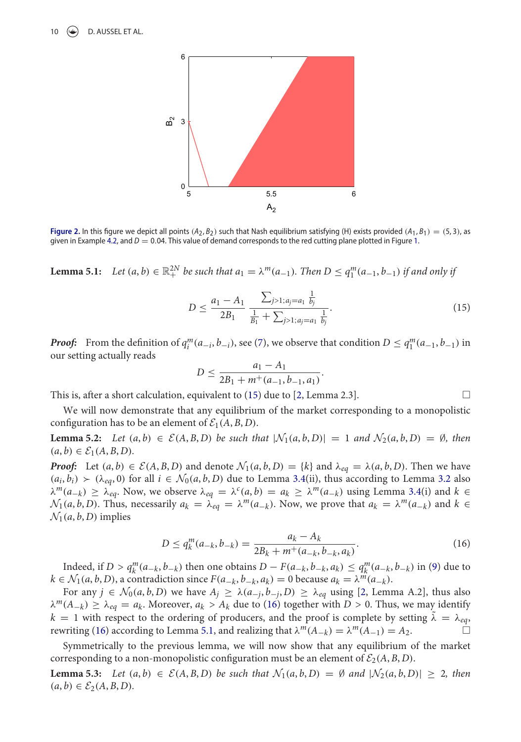10  $\left(\bigstar\right)$  D. AUSSEL ET AL.



**Figure 2.** In this figure we depict all points  $(A_2, B_2)$  such that Nash equilibrium satisfying (H) exists provided  $(A_1, B_1) = (5, 3)$ , as given in Example 4.2, and *D* = 0.04. This value of demand corresponds to the red cutting plane plotted in Figure 1.

**Lemma 5.1:** *Let*  $(a, b) \in \mathbb{R}^{2N}_+$  *be such that*  $a_1 = \lambda^m(a_{-1})$ *. Then*  $D \le q_1^m(a_{-1}, b_{-1})$  *if and only if* 

$$
D \le \frac{a_1 - A_1}{2B_1} \frac{\sum_{j>1; a_j = a_1} \frac{1}{b_j}}{\frac{1}{B_1} + \sum_{j>1; a_j = a_1} \frac{1}{b_j}}.
$$
\n(15)

.

*Proof:* From the definition of  $q_i^m(a_{-i}, b_{-i})$ , see (7), we observe that condition  $D \le q_1^m(a_{-1}, b_{-1})$  in our setting actually reads

$$
D \le \frac{a_1 - A_1}{2B_1 + m^+(a_{-1}, b_{-1}, a_1)}
$$

This is, after a short calculation, equivalent to  $(15)$  due to  $[2, \text{Lemma } 2.3]$ .

We will now demonstrate that any equilibrium of the market corresponding to a monopolistic configuration has to be an element of  $\mathcal{E}_1(A, B, D)$ .

**Lemma 5.2:** Let  $(a, b)$  ∈  $\mathcal{E}(A, B, D)$  be such that  $|\mathcal{N}_1(a, b, D)| = 1$  and  $\mathcal{N}_2(a, b, D) = ∅$ *, then*  $(a, b) \in \mathcal{E}_1(A, B, D)$ .

*Proof:* Let  $(a, b) \in \mathcal{E}(A, B, D)$  and denote  $\mathcal{N}_1(a, b, D) = \{k\}$  and  $\lambda_{eq} = \lambda(a, b, D)$ . Then we have  $(a_i, b_i) \succ (\lambda_{eq}, 0)$  for all  $i \in \mathcal{N}_0(a, b, D)$  due to Lemma 3.4(ii), thus according to Lemma 3.2 also λ*m*(*a*−*k*) ≥ λ*eq*. Now, we observe λ*eq* = λ*c*(*a*, *b*) = *ak* ≥ λ*m*(*a*−*k*) using Lemma 3.4(i) and *k* ∈  $\mathcal{N}_1(a, b, D)$ . Thus, necessarily  $a_k = \lambda_{eq} = \lambda^m(a_{-k})$ . Now, we prove that  $a_k = \lambda^m(a_{-k})$  and  $k \in$  $\mathcal{N}_1(a, b, D)$  implies

$$
D \le q_k^m(a_{-k}, b_{-k}) = \frac{a_k - A_k}{2B_k + m^+(a_{-k}, b_{-k}, a_k)}.
$$
\n(16)

Indeed, if  $D > q_k^m(a_{-k}, b_{-k})$  then one obtains  $D - F(a_{-k}, b_{-k}, a_k) \le q_k^m(a_{-k}, b_{-k})$  in (9) due to *k* ∈ *N*<sub>1</sub>(*a*, *b*, *D*), a contradiction since *F*( $a_{-k}$ ,  $b_{-k}$ ,  $a_k$ ) = 0 because  $a_k = \lambda^m(a_{-k})$ .

For any  $j \in \mathcal{N}_0(a, b, D)$  we have  $A_j \geq \lambda(a_{-j}, b_{-j}, D) \geq \lambda_{eq}$  using [2, Lemma A.2], thus also  $\lambda^m(A_{-k}) \geq \lambda_{eq} = a_k$ . Moreover,  $a_k > A_k$  due to (16) together with *D* > 0. Thus, we may identify  $k = 1$  with respect to the ordering of producers, and the proof is complete by setting  $\lambda = \lambda_{eq}$ , rewriting (16) according to Lemma 5.1, and realizing that  $\lambda^{m}(A_{-k}) = \lambda^{m}(A_{-1}) = A_2$ .

Symmetrically to the previous lemma, we will now show that any equilibrium of the market corresponding to a non-monopolistic configuration must be an element of  $\mathcal{E}_2(A, B, D)$ .

**Lemma 5.3:** Let  $(a, b) \in \mathcal{E}(A, B, D)$  be such that  $\mathcal{N}_1(a, b, D) = \emptyset$  and  $|\mathcal{N}_2(a, b, D)| \geq 2$ , then  $(a, b) \in E_2(A, B, D)$ .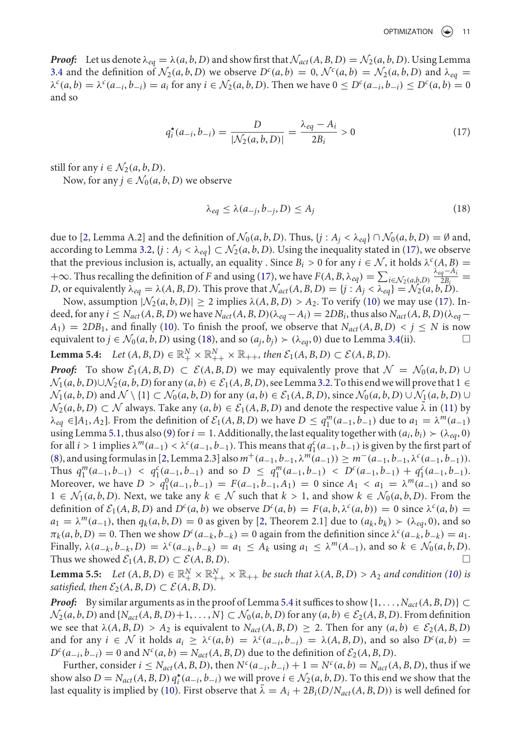*Proof:* Let us denote  $\lambda_{eq} = \lambda(a, b, D)$  and show first that  $\mathcal{N}_{act}(A, B, D) = \mathcal{N}_2(a, b, D)$ . Using Lemma 3.4 and the definition of  $\mathcal{N}_2(a, b, D)$  we observe  $D^c(a, b) = 0$ ,  $\mathcal{N}^c(a, b) = \mathcal{N}_2(a, b, D)$  and  $\lambda_{eq} =$  $\lambda^{c}(a,b) = \lambda^{c}(a_{-i},b_{-i}) = a_{i}$  for any  $i \in \mathcal{N}_{2}(a,b,D)$ . Then we have  $0 \leq D^{c}(a_{-i},b_{-i}) \leq D^{c}(a,b) = 0$ and so

$$
q_i^{\star}(a_{-i}, b_{-i}) = \frac{D}{|\mathcal{N}_2(a, b, D)|} = \frac{\lambda_{eq} - A_i}{2B_i} > 0
$$
 (17)

still for any  $i \in \mathcal{N}_2(a, b, D)$ .

Now, for any  $j \in \mathcal{N}_0(a, b, D)$  we observe

$$
\lambda_{eq} \le \lambda(a_{-j}, b_{-j}, D) \le A_j \tag{18}
$$

due to [2, Lemma A.2] and the definition of  $\mathcal{N}_0(a, b, D)$ . Thus,  $\{j : A_j < \lambda_{eq}\} \cap \mathcal{N}_0(a, b, D) = \emptyset$  and, according to Lemma 3.2,  $\{j : A_j < \lambda_{eq}\} \subset \mathcal{N}_2(a, b, D)$ . Using the inequality stated in (17), we observe that the previous inclusion is, actually, an equality . Since  $B_i > 0$  for any  $i \in \mathcal{N}$ , it holds  $\lambda^c(A, B) =$  $+∞$ . Thus recalling the definition of *F* and using (17), we have  $F(A, B, \lambda_{eq}) = \sum_{i \in \mathcal{N}_2(a, b, D)}$  $\frac{\lambda_{eq}-A_i}{2B_i}$  = *D*, or equivalently  $\lambda_{eq} = \lambda(A, B, D)$ . This prove that  $\mathcal{N}_{act}(A, B, D) = \{j : A_j < \lambda_{eq}\} = \mathcal{N}_2(a, b, D)$ .

Now, assumption  $|\mathcal{N}_2(a, b, D)| \geq 2$  implies  $\lambda(A, B, D) > A_2$ . To verify (10) we may use (17). Indeed, for any  $i \leq N_{act}(A, B, D)$  we have  $N_{act}(A, B, D)(\lambda_{eq}-A_i) = 2DB_i$ , thus also  $N_{act}(A, B, D)(\lambda_{eq}-A_i)$  $A_1$ ) = 2*DB*<sub>1</sub>, and finally (10). To finish the proof, we observe that  $N_{act}(A, B, D) < j \le N$  is now equivalent to  $j \in \mathcal{N}_0(a, b, D)$  using (18), and so  $(a_j, b_j) \succ (\lambda_{eq}, 0)$  due to Lemma 3.4(ii).

**Lemma 5.4:**  $Let (A, B, D) \in \mathbb{R}_{+}^{N} \times \mathbb{R}_{++}^{N} \times \mathbb{R}_{++}$ , then  $\mathcal{E}_1(A, B, D) \subset \mathcal{E}(A, B, D)$ .

*Proof:* To show  $\mathcal{E}_1(A, B, D) \subset \mathcal{E}(A, B, D)$  we may equivalently prove that  $\mathcal{N} = \mathcal{N}_0(a, b, D) \cup$  $\mathcal{N}_1(a, b, D) \cup \mathcal{N}_2(a, b, D)$  for any  $(a, b) \in \mathcal{E}_1(A, B, D)$ , see Lemma 3.2. To this end we will prove that  $1 \in$  $\mathcal{N}_1(a, b, D)$  and  $\mathcal{N} \setminus \{1\} \subset \mathcal{N}_0(a, b, D)$  for any  $(a, b) \in \mathcal{E}_1(A, B, D)$ , since  $\mathcal{N}_0(a, b, D) \cup \mathcal{N}_1(a, b, D) \cup \mathcal{N}_2(a, b, D)$  $\mathcal{N}_2(a, b, D) \subset \mathcal{N}$  always. Take any  $(a, b) \in \mathcal{E}_1(A, B, D)$  and denote the respective value  $\lambda$  in (11) by  $\lambda_{eq} \in ]A_1, A_2]$ . From the definition of  $\mathcal{E}_1(A, B, D)$  we have  $D \le q_1^m(a_{-1}, b_{-1})$  due to  $a_1 = \lambda^m(a_{-1})$ using Lemma 5.1, thus also (9) for  $i = 1$ . Additionally, the last equality together with  $(a_i, b_i) > (\lambda_{ea}, 0)$ for all *i* > 1 implies  $\lambda^m(a_{-1}) < \lambda^c(a_{-1}, b_{-1})$ . This means that  $q_1^c(a_{-1}, b_{-1})$  is given by the first part of (8), and usingformulas in [2, Lemma 2.3] also*m*+(*a*−1, *b*−1, λ*m*(*a*−1)) ≥ *m*−(*a*−1, *b*−1, λ*c*(*a*−1, *b*−1)). Thus  $q_1^m(a_{-1}, b_{-1}) < q_1^c(a_{-1}, b_{-1})$  and so  $D \leq q_1^m(a_{-1}, b_{-1}) < D^c(a_{-1}, b_{-1}) + q_1^c(a_{-1}, b_{-1})$ . Moreover, we have  $D > q_1^0(a_{-1}, b_{-1}) = F(a_{-1}, b_{-1}, A_1) = 0$  since  $A_1 < a_1 = \lambda^m(a_{-1})$  and so 1 ∈  $\mathcal{N}_1(a, b, D)$ . Next, we take any  $k \in \mathcal{N}$  such that  $k > 1$ , and show  $k \in \mathcal{N}_0(a, b, D)$ . From the definition of  $\mathcal{E}_1(A, B, D)$  and  $D^c(a, b)$  we observe  $D^c(a, b) = F(a, b, \lambda^c(a, b)) = 0$  since  $\lambda^c(a, b) =$  $a_1 = \lambda^m(a_{-1})$ , then  $q_k(a, b, D) = 0$  as given by [2, Theorem 2.1] due to  $(a_k, b_k) \succ (\lambda_{ea}, 0)$ , and so  $\pi_k(a, b, D) = 0$ . Then we show  $D^c(a_{-k}, b_{-k}) = 0$  again from the definition since  $\lambda^c(a_{-k}, b_{-k}) = a_1$ . Finally,  $\lambda(a_{-k}, b_{-k}, D) = \lambda^c(a_{-k}, b_{-k}) = a_1 \leq A_k$  using  $a_1 \leq \lambda^m(A_{-1})$ , and so  $k \in \mathcal{N}_0(a, b, D)$ .<br>Thus we showed  $\mathcal{E}_1(A, B, D) \subset \mathcal{E}(A, B, D)$ . Thus we showed  $\mathcal{E}_1(A, B, D) \subset \mathcal{E}(A, B, D)$ .

**Lemma 5.5:** Let  $(A, B, D) \in \mathbb{R}_+^N \times \mathbb{R}_{++}^N \times \mathbb{R}_{++}$  be such that  $\lambda(A, B, D) > A_2$  and condition (10) is *satisfied, then*  $\mathcal{E}_2(A, B, D) \subset \mathcal{E}(A, B, D)$ .

*Proof:* By similar arguments as in the proof of Lemma 5.4 it suffices to show  $\{1, \ldots, N_{act}(A, B, D)\} \subset$  $\mathcal{N}_2(a, b, D)$  and  $\{N_{act}(A, B, D) + 1, \ldots, N\} \subset \mathcal{N}_0(a, b, D)$  for any  $(a, b) \in \mathcal{E}_2(A, B, D)$ . From definition we see that  $\lambda(A, B, D) > A_2$  is equivalent to  $N_{act}(A, B, D) \geq 2$ . Then for any  $(a, b) \in \mathcal{E}_2(A, B, D)$ and for any  $i \in \mathcal{N}$  it holds  $a_i \geq \lambda^c(a,b) = \lambda^c(a_{-i},b_{-i}) = \lambda(A,B,D)$ , and so also  $D^c(a,b) =$  $D^{c}(a_{-i}, b_{-i}) = 0$  and  $N^{c}(a, b) = N_{act}(A, B, D)$  due to the definition of  $\mathcal{E}_2(A, B, D)$ .

Further, consider  $i \leq N_{act}(A, B, D)$ , then  $N^c(a_{-i}, b_{-i}) + 1 = N^c(a, b) = N_{act}(A, B, D)$ , thus if we show also  $D = N_{act}(A, B, D) q_i^*(a_{-i}, b_{-i})$  we will prove  $i \in \mathcal{N}_2(a, b, D)$ . To this end we show that the last equality is implied by (10). First observe that  $\overline{\lambda} = A_i + 2B_i(D/N_{act}(A, B, D))$  is well defined for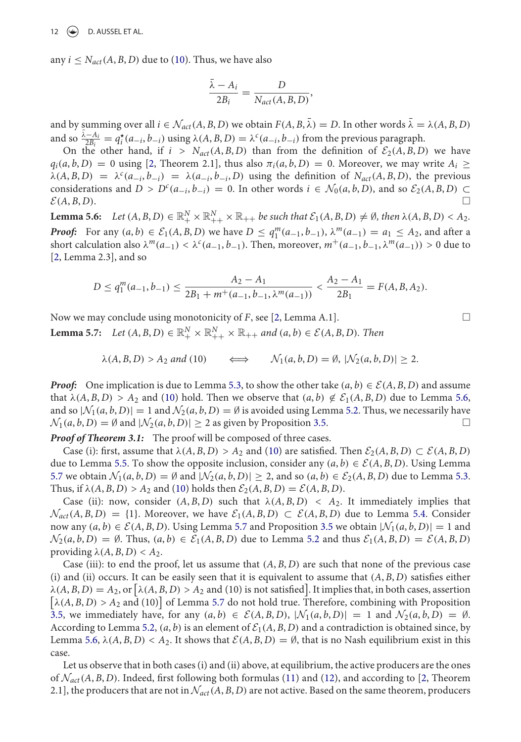any  $i \leq N_{act}(A, B, D)$  due to (10). Thus, we have also

$$
\frac{\bar{\lambda} - A_i}{2B_i} = \frac{D}{N_{act}(A, B, D)},
$$

and by summing over all  $i \in \mathcal{N}_{act}(A, B, D)$  we obtain  $F(A, B, \overline{\lambda}) = D$ . In other words  $\overline{\lambda} = \lambda(A, B, D)$ and so  $\frac{\bar{\lambda}-A_i}{2B_i} = q_i^*(a_{-i}, b_{-i})$  using  $\lambda(A, B, D) = \lambda^c(a_{-i}, b_{-i})$  from the previous paragraph.

On the other hand, if  $i > N_{act}(A, B, D)$  than from the definition of  $\mathcal{E}_2(A, B, D)$  we have  $q_i(a, b, D) = 0$  using [2, Theorem 2.1], thus also  $\pi_i(a, b, D) = 0$ . Moreover, we may write  $A_i \geq$  $\lambda(A, B, D) = \lambda^c(a_{-i}, b_{-i}) = \lambda(a_{-i}, b_{-i}, D)$  using the definition of  $N_{act}(A, B, D)$ , the previous considerations and *D* > *D<sup><i>c*</sup>( $a_{-i}$ ,  $b_{-i}$ ) = 0. In other words  $i \in \mathcal{N}_0(a, b, D)$ , and so  $\mathcal{E}_2(A, B, D)$  ⊂  $\Box$  $E(A, B, D)$ .

**Lemma 5.6:** Let  $(A, B, D) \in \mathbb{R}_+^N \times \mathbb{R}_{++}^N \times \mathbb{R}_{++}$  be such that  $\mathcal{E}_1(A, B, D) \neq \emptyset$ , then  $\lambda(A, B, D) < A_2$ . *Proof:* For any  $(a, b) \in \mathcal{E}_1(A, B, D)$  we have  $D \le q_1^m(a_{-1}, b_{-1}), \lambda^m(a_{-1}) = a_1 \le A_2$ , and after a short calculation also  $\lambda^m(a_{-1}) < \lambda^c(a_{-1}, b_{-1})$ . Then, moreover,  $m^+(a_{-1}, b_{-1}, \lambda^m(a_{-1})) > 0$  due to [2, Lemma 2.3], and so

$$
D \le q_1^m(a_{-1}, b_{-1}) \le \frac{A_2 - A_1}{2B_1 + m^+(a_{-1}, b_{-1}, \lambda^m(a_{-1}))} < \frac{A_2 - A_1}{2B_1} = F(A, B, A_2).
$$

Now we may conclude using monotonicity of *F*, see [2, Lemma A.1]. -**Lemma 5.7:** *Let*  $(A, B, D) \in \mathbb{R}_{+}^{N} \times \mathbb{R}_{++}^{N} \times \mathbb{R}_{++}$  *and*  $(a, b) \in \mathcal{E}(A, B, D)$ *. Then* 

$$
\lambda(A, B, D) > A_2
$$
 and (10)  $\iff$   $\mathcal{N}_1(a, b, D) = \emptyset, |\mathcal{N}_2(a, b, D)| \ge 2.$ 

*Proof:* One implication is due to Lemma 5.3, to show the other take  $(a, b) \in \mathcal{E}(A, B, D)$  and assume that  $\lambda(A, B, D) > A_2$  and (10) hold. Then we observe that  $(a, b) \notin \mathcal{E}_1(A, B, D)$  due to Lemma 5.6, and so  $|\mathcal{N}_1(a, b, D)| = 1$  and  $\mathcal{N}_2(a, b, D) = \emptyset$  is avoided using Lemma 5.2. Thus, we necessarily have  $\mathcal{N}_1(a, b, D) = \emptyset$  and  $|\mathcal{N}_2(a, b, D)| > 2$  as given by Proposition 3.5.  $\mathcal{N}_1(a, b, D) = \emptyset$  and  $|\mathcal{N}_2(a, b, D)| \geq 2$  as given by Proposition 3.5.

*Proof of Theorem 3.1:* The proof will be composed of three cases.

Case (i): first, assume that  $\lambda(A, B, D) > A_2$  and (10) are satisfied. Then  $\mathcal{E}_2(A, B, D) \subset \mathcal{E}(A, B, D)$ due to Lemma 5.5. To show the opposite inclusion, consider any  $(a, b) \in \mathcal{E}(A, B, D)$ . Using Lemma 5.7 we obtain  $\mathcal{N}_1(a, b, D) = \emptyset$  and  $|\mathcal{N}_2(a, b, D)| \geq 2$ , and so  $(a, b) \in \mathcal{E}_2(A, B, D)$  due to Lemma 5.3. Thus, if  $\lambda(A, B, D) > A_2$  and (10) holds then  $\mathcal{E}_2(A, B, D) = \mathcal{E}(A, B, D)$ .

Case (ii): now, consider  $(A, B, D)$  such that  $\lambda(A, B, D) < A_2$ . It immediately implies that  $\mathcal{N}_{act}(A, B, D) = \{1\}$ . Moreover, we have  $\mathcal{E}_1(A, B, D) \subset \mathcal{E}(A, B, D)$  due to Lemma 5.4. Consider now any  $(a, b) \in \mathcal{E}(A, B, D)$ . Using Lemma 5.7 and Proposition 3.5 we obtain  $|\mathcal{N}_1(a, b, D)| = 1$  and  $\mathcal{N}_2(a, b, D) = \emptyset$ . Thus,  $(a, b) \in \mathcal{E}_1(A, B, D)$  due to Lemma 5.2 and thus  $\mathcal{E}_1(A, B, D) = \mathcal{E}(A, B, D)$ providing  $\lambda(A, B, D) < A_2$ .

Case (iii): to end the proof, let us assume that  $(A, B, D)$  are such that none of the previous case (i) and (ii) occurs. It can be easily seen that it is equivalent to assume that  $(A, B, D)$  satisfies either  $\lambda(A,B,D)=A_2,$  or  $\big[\lambda(A,B,D)>A_2$  and (10) is not satisfied]. It implies that, in both cases, assertion  $[\lambda(A, B, D) > A_2$  and (10) of Lemma 5.7 do not hold true. Therefore, combining with Proposition 3.5, we immediately have, for any  $(a, b) \in \mathcal{E}(A, B, D)$ ,  $|\mathcal{N}_1(a, b, D)| = 1$  and  $\mathcal{N}_2(a, b, D) = \emptyset$ . According to Lemma 5.2,  $(a, b)$  is an element of  $\mathcal{E}_1(A, B, D)$  and a contradiction is obtained since, by Lemma 5.6,  $\lambda(A, B, D) < A_2$ . It shows that  $\mathcal{E}(A, B, D) = \emptyset$ , that is no Nash equilibrium exist in this case.

Let us observe that in both cases (i) and (ii) above, at equilibrium, the active producers are the ones of  $\mathcal{N}_{act}(A, B, D)$ . Indeed, first following both formulas (11) and (12), and according to [2, Theorem 2.1], the producers that are not in  $\mathcal{N}_{act}(A, B, D)$  are not active. Based on the same theorem, producers

 $\Box$